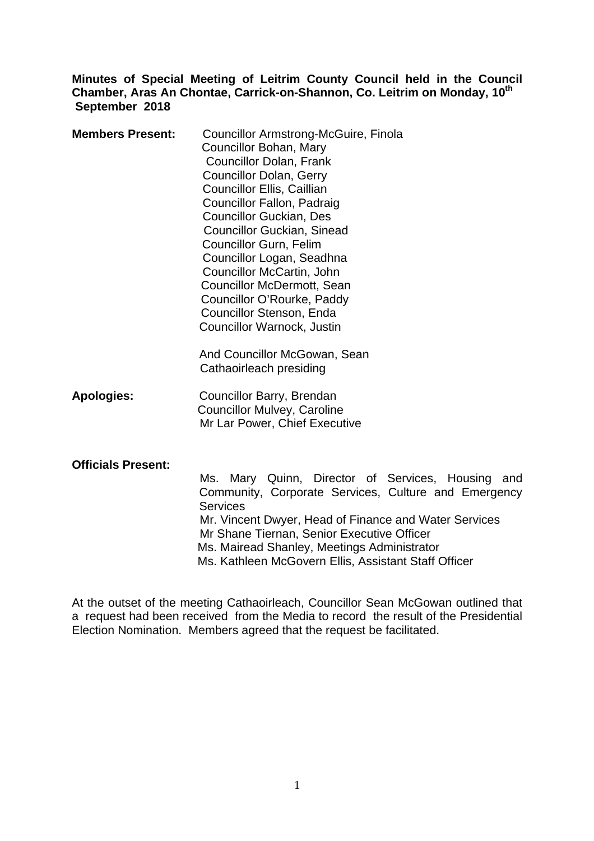# **Minutes of Special Meeting of Leitrim County Council held in the Council Chamber, Aras An Chontae, Carrick-on-Shannon, Co. Leitrim on Monday, 10th September 2018**

| <b>Members Present:</b> | <b>Councillor Armstrong-McGuire, Finola</b><br>Councillor Bohan, Mary<br><b>Councillor Dolan, Frank</b><br><b>Councillor Dolan, Gerry</b><br><b>Councillor Ellis, Caillian</b><br>Councillor Fallon, Padraig<br><b>Councillor Guckian, Des</b><br><b>Councillor Guckian, Sinead</b><br><b>Councillor Gurn, Felim</b><br>Councillor Logan, Seadhna<br>Councillor McCartin, John<br><b>Councillor McDermott, Sean</b><br>Councillor O'Rourke, Paddy<br>Councillor Stenson, Enda |
|-------------------------|-------------------------------------------------------------------------------------------------------------------------------------------------------------------------------------------------------------------------------------------------------------------------------------------------------------------------------------------------------------------------------------------------------------------------------------------------------------------------------|
|                         | Councillor Warnock, Justin                                                                                                                                                                                                                                                                                                                                                                                                                                                    |

And Councillor McGowan, Sean Cathaoirleach presiding

**Apologies:** Councillor Barry, Brendan Councillor Mulvey, Caroline Mr Lar Power, Chief Executive

#### **Officials Present:**

 Ms. Mary Quinn, Director of Services, Housing and Community, Corporate Services, Culture and Emergency **Services**  Mr. Vincent Dwyer, Head of Finance and Water Services Mr Shane Tiernan, Senior Executive Officer Ms. Mairead Shanley, Meetings Administrator Ms. Kathleen McGovern Ellis, Assistant Staff Officer

At the outset of the meeting Cathaoirleach, Councillor Sean McGowan outlined that a request had been received from the Media to record the result of the Presidential Election Nomination. Members agreed that the request be facilitated.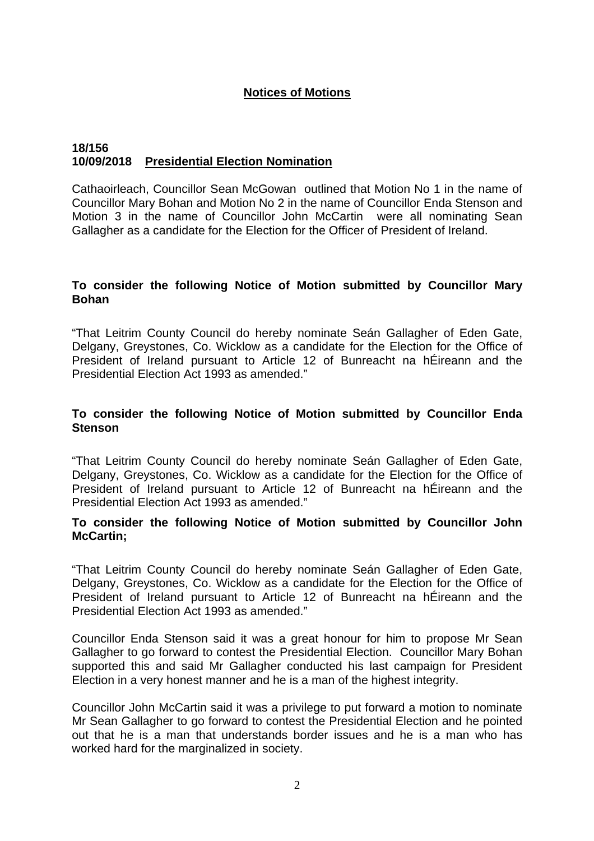# **Notices of Motions**

## **18/156 10/09/2018 Presidential Election Nomination**

Cathaoirleach, Councillor Sean McGowan outlined that Motion No 1 in the name of Councillor Mary Bohan and Motion No 2 in the name of Councillor Enda Stenson and Motion 3 in the name of Councillor John McCartin were all nominating Sean Gallagher as a candidate for the Election for the Officer of President of Ireland.

# **To consider the following Notice of Motion submitted by Councillor Mary Bohan**

"That Leitrim County Council do hereby nominate Seán Gallagher of Eden Gate, Delgany, Greystones, Co. Wicklow as a candidate for the Election for the Office of President of Ireland pursuant to Article 12 of Bunreacht na hÉireann and the Presidential Election Act 1993 as amended."

# **To consider the following Notice of Motion submitted by Councillor Enda Stenson**

"That Leitrim County Council do hereby nominate Seán Gallagher of Eden Gate, Delgany, Greystones, Co. Wicklow as a candidate for the Election for the Office of President of Ireland pursuant to Article 12 of Bunreacht na hÉireann and the Presidential Election Act 1993 as amended."

#### **To consider the following Notice of Motion submitted by Councillor John McCartin;**

"That Leitrim County Council do hereby nominate Seán Gallagher of Eden Gate, Delgany, Greystones, Co. Wicklow as a candidate for the Election for the Office of President of Ireland pursuant to Article 12 of Bunreacht na hÉireann and the Presidential Election Act 1993 as amended."

Councillor Enda Stenson said it was a great honour for him to propose Mr Sean Gallagher to go forward to contest the Presidential Election. Councillor Mary Bohan supported this and said Mr Gallagher conducted his last campaign for President Election in a very honest manner and he is a man of the highest integrity.

Councillor John McCartin said it was a privilege to put forward a motion to nominate Mr Sean Gallagher to go forward to contest the Presidential Election and he pointed out that he is a man that understands border issues and he is a man who has worked hard for the marginalized in society.